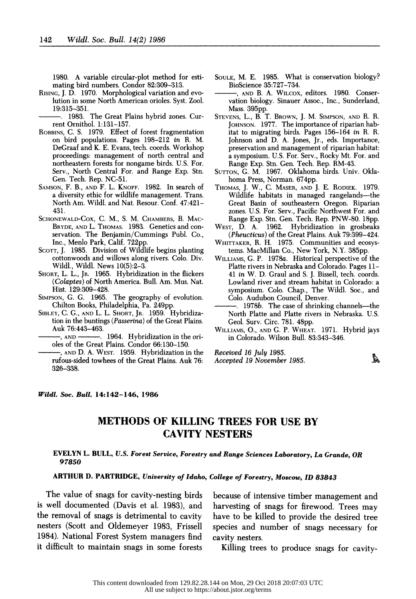1980. A variable circular-plot method for esti mating bird numbers. Condor 82:309-313.

RISING, J. D. 1970. Morphological variation and evo lution in some North American orioles. Syst. Zool. 19:315-351.

 . 1983. The Great Plains hybrid zones. Cur rent Ornithol. 1:131-157.

- ROBBINS, C. S. 1979. Effect of forest fragmentation on bird populations. Pages 198-212 in R. M. DeGraaf and K. E. Evans, tech. coords. Workshop proceedings: management of north central and northeastern forests for nongame birds. U.S. For. Serv., North Central For. and Range Exp. Stn. Gen. Tech. Rep. NC-51.
- SAMSON, F. B., AND F. L. KNOPF. 1982. In search of a diversity ethic for wildlife management. Trans. North Am. Wildl. and Nat. Resour. Conf. 47:421- 431.
- SCHONEWALD-COX, C. M., S. M. CHAMBERS, B. MAC- BRYDE, AND L. THOMAS. 1983. Genetics and con servation. The Benjamin/Cummings Publ. Co., Inc., Menlo Park, Calif. 722pp.
- SCOTT, J. 1985. Division of Wildlife begins planting cottonwoods and willows along rivers. Colo. Div. Wildl., Wildl. News 10(5):2-3.
- SHORT, L. L., JR. 1965. Hybridization in the flickers (Colaptes) of North America. Bull. Am. Mus. Nat. Hist. 129:309-428.
- SIMPSON, G. G. 1965. The geography of evolution. Chilton Books, Philadelphia, Pa. 249pp.
- SIBLEY, C. G., AND L. L. SHORT, JR. 1959. Hybridiza tion in the buntings (Passerina) of the Great Plains. Auk 76:443-463.
- -, AND 1964. Hybridization in the orioles of the Great Plains. Condor 66:130-150.
- , AND D. A. WEST. 1959. Hybridization in the rufous-sided towhees of the Great Plains. Auk 76: 326-338.

 SOULE, M. E. 1985. What is conservation biology? BioScience 35:727-734.

 , AND B. A. WILCOX, editors. 1980. Conser vation biology. Sinauer Assoc., Inc., Sunderland, Mass. 395pp.

- STEVENS, L., B. T. BROWN, J. M. SIMPSON, AND R. R. JOHNSON. 1977. The importance of riparian hab itat to migrating birds. Pages 156-164 in R. R. Johnson and D. A. Jones, Jr., eds. Importance, preservation and management of riparian habitat: a symposium. U.S. For. Serv., Rocky Mt. For. and Range Exp. Stn. Gen. Tech. Rep. RM-43.
- SUTTON, G. M. 1967. Oklahoma birds. Univ. Okla homa Press, Norman. 674pp.
- THOMAS, J. W., C. MASER, AND J. E. RODIEK. 1979. Wildlife habitats in managed rangelands—the Great Basin of southeastern Oregon. Riparian zones. U.S. For. Serv., Pacific Northwest For. and Range Exp. Stn. Gen. Tech. Rep. PNW-80. 18pp.
- WEST, D. A. 1962. Hybridization in grosbeaks (Pheucticus) of the Great Plains. Auk 79:399-424.
- WHITTAKER, R. H. 1975. Communities and ecosys tems. MacMillan Co., New York, N.Y. 385pp.
- WILLIAMS, G. P. 1978a. Historical perspective of the Platte rivers in Nebraska and Colorado. Pages 11- 41 in W. D. Graul and S. J. Bissell, tech. coords. Lowland river and stream habitat in Colorado: a symposium. Colo. Chap., The Wildl. Soc., and Colo. Audubon Council, Denver.
- $1978b$ . The case of shrinking channels—the North Platte and Platte rivers in Nebraska. U.S. Geol. Surv. Circ. 781. 48pp.
- WILLIAMS, O., AND G. P. WHEAT. 1971. Hybrid jays in Colorado. Wilson Bull. 83:343-346.

 Received 16 July 1985. Å Accepted 19 November 1985.

#### Wildi. Soc. Bull. 14:142-146, 1986

# METHODS OF KILLING TREES FOR USE BY CAVITY NESTERS

## EVELYN L. BULL, U.S. Forest Service, Forestry and Range Sciences Laboratory, La Grande, OR 97850

# ARTHUR D. PARTRIDGE, University of Idaho, College of Forestry, Moscow, ID 83843

 The value of snags for cavity-nesting birds is well documented (Davis et al. 1983), and the removal of snags is detrimental to cavity nesters (Scott and Oldemeyer 1983, Frissell 1984). National Forest System managers find it difficult to maintain snags in some forests

 because of intensive timber management and harvesting of snags for firewood. Trees may have to be killed to provide the desired tree species and number of snags necessary for cavity nesters.

Killing trees to produce snags for cavity-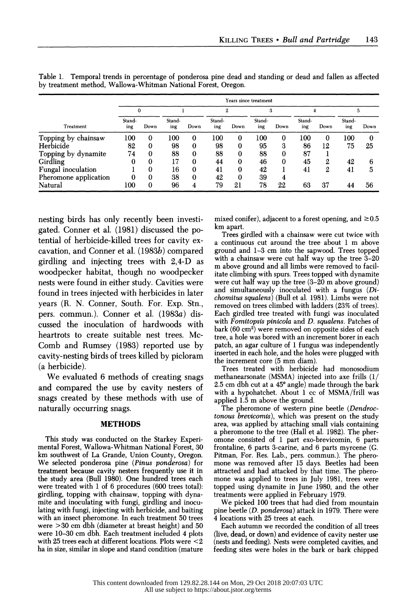| by treatment method, Wallowa-Whitman National Forest, Oregon. |                       |      |               |          |               |          |               |          |               |      |               |      |
|---------------------------------------------------------------|-----------------------|------|---------------|----------|---------------|----------|---------------|----------|---------------|------|---------------|------|
|                                                               | Years since treatment |      |               |          |               |          |               |          |               |      |               |      |
|                                                               | 0                     |      |               |          | 2             |          |               |          |               |      |               | 5    |
| Treatment                                                     | Stand-<br>ing         | Down | Stand-<br>ing | Down     | Stand-<br>ing | Down     | Stand-<br>ing | Down     | Stand-<br>ing | Down | Stand-<br>ing | Down |
| Topping by chainsaw                                           | 100                   | 0    | 100           | 0        | 100           | 0        | 100           | $\Omega$ | 100           | 0    | 100           | 0    |
| Herbicide                                                     | 82                    | 0    | 98            | 0        | 98            | 0        | 95            | 3        | 86            | 12   | 75            | 25   |
| Topping by dynamite                                           | 74                    | 0    | 88            | $\bf{0}$ | 88            | $\bf{0}$ | 88            | 0        | 87            |      |               |      |
| Girdling                                                      |                       | 0    | 17            | 0        | 44            | 0        | 46            | 0        | 45            | 2    | 42            | 6    |
| Fungal inoculation                                            |                       | 0    | 16            | 0        | 41            | 0        | 42            |          | 41            | 2    | 41            | 5    |
| Pheromone application                                         |                       | 0    | 38            | $\bf{0}$ | 42            | 0        | 39            |          |               |      |               |      |
| Natural                                                       | 100                   | 0    | 96            | 4        | 79            | 21       | 78            | 22       | 63            | 37   | 44            | 56   |

 Table 1. Temporal trends in percentage of ponderosa pine dead and standing or dead and fallen as affected by treatment method, Wallowa-Whitman National Forest, Oregon.

 nesting birds has only recently been investi gated. Conner et al. (1981) discussed the po tential of herbicide-killed trees for cavity ex cavation, and Conner et al. (1983b) compared girdling and injecting trees with 2,4-D as woodpecker habitat, though no woodpecker nests were found in either study. Cavities were found in trees injected with herbicides in later years (R. N. Conner, South. For. Exp. Stn., pers. commun.). Conner et al. (1983a) dis cussed the inoculation of hardwoods with heartrots to create suitable nest trees. Mc- Comb and Rumsey (1983) reported use by cavity-nesting birds of trees killed by picloram (a herbicide).

 We evaluated 6 methods of creating snags and compared the use by cavity nesters of snags created by these methods with use of naturally occurring snags.

## METHODS

 This study was conducted on the Starkey Experi mental Forest, Wallowa-Whitman National Forest, 30 km southwest of La Grande, Union County, Oregon. We selected ponderosa pine (Pinus ponderosa) for treatment because cavity nesters frequently use it in the study area (Bull 1980). One hundred trees each were treated with 1 of 6 procedures (600 trees total): girdling, topping with chainsaw, topping with dyna mite and inoculating with fungi, girdling and inocu lating with fungi, injecting with herbicide, and baiting with an insect pheromone. In each treatment 50 trees were >30 cm dbh (diameter at breast height) and 50 were 10-30 cm dbh. Each treatment included 4 plots with 25 trees each at different locations. Plots were <2 ha in size, similar in slope and stand condition (mature

mixed conifer), adjacent to a forest opening, and  $\geq 0.5$ km apart.

 Trees girdled with a chainsaw were cut twice with a continuous cut around the tree about 1 m above ground and 1-3 cm into the sapwood. Trees topped with a chainsaw were cut half way up the tree 3-20 m above ground and all limbs were removed to facil itate climbing with spurs. Trees topped with dynamite were cut half way up the tree (3-20 m above ground) and simultaneously inoculated with a fungus (Di chomitus squalens) (Bull et al. 1981). Limbs were not removed on trees climbed with ladders (23% of trees). Each girdled tree treated with fungi was inoculated with Fomitopsis pinicola and D. squalens. Patches of bark (60 cm2) were removed on opposite sides of each tree, a hole was bored with an increment borer in each patch, an agar culture of 1 fungus was independently inserted in each hole, and the holes were plugged with the increment core (5 mm diam).

 Trees treated with herbicide had monosodium methanearsonate (MSMA) injected into axe frills (1/ 2.5 cm dbh cut at a  $45^{\circ}$  angle) made through the bark with a hypohatchet. About 1 cc of MSMA/frill was applied 1.5 m above the ground.

The pheromone of western pine beetle (Dendroc tonous brevicomis), which was present on the study area, was applied by attaching small vials containing a pheromone to the tree (Hall et al. 1982). The pher omone consisted of 1 part exo-brevicomin, 6 parts frontaline, 6 parts 3-carine, and 6 parts myrcene (G. Pitman, For. Res. Lab., pers. commun.). The phero mone was removed after 15 days. Beetles had been attracted and had attacked by that time. The phero mone was applied to trees in July 1981, trees were topped using dynamite in June 1980, and the other treatments were applied in February 1979.

 We picked 100 trees that had died from mountain pine beetle (D. ponderosa) attack in 1979. There were 4 locations with 25 trees at each.

 Each autumn we recorded the condition of all trees (live, dead, or down) and evidence of cavity nester use (nests and feeding). Nests were completed cavities, and feeding sites were holes in the bark or bark chipped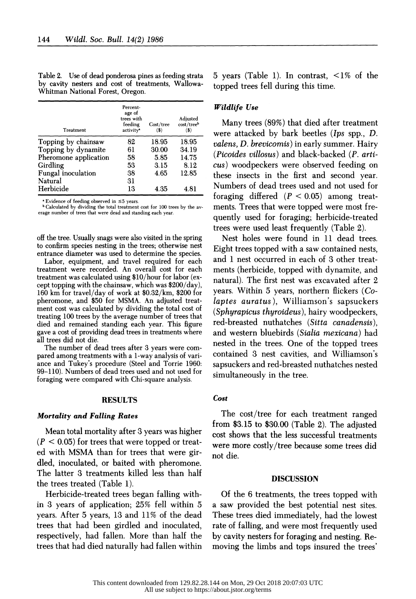| Treatment                 | Percent-<br>age of<br>trees with<br>feeding<br>activity <sup>*</sup> | Cost/tree<br>$\left( \mathbf{\$}\right)$ | Adjusted<br>cost/treeb<br>(3) |
|---------------------------|----------------------------------------------------------------------|------------------------------------------|-------------------------------|
| Topping by chainsaw       | 82                                                                   | 18.95                                    | 18.95                         |
| Topping by dynamite       | 61                                                                   | 30.00                                    | 34.19                         |
| Pheromone application     | 58                                                                   | 5.85                                     | 14.75                         |
| Girdling                  | 53                                                                   | 3.15                                     | 8.12                          |
| <b>Fungal</b> inoculation | 38                                                                   | 4.65                                     | 12.85                         |
| Natural                   | 31                                                                   |                                          |                               |
| Herbicide                 | 13                                                                   | 4.35                                     | 4.81                          |

 Table 2. Use of dead ponderosa pines as feeding strata by cavity nesters and cost of treatments, Wallowa- Whitman National Forest, Oregon.

 $*$  Evidence of feeding observed in  $\leq$ 5 years.

 b Calculated by dividing the total treatment cost for 100 trees by the av erage number of trees that were dead and standing each year.

 off the tree. Usually snags were also visited in the spring to confirm species nesting in the trees; otherwise nest entrance diameter was used to determine the species.

 Labor, equipment, and travel required for each treatment were recorded. An overall cost for each treatment was calculated using \$10/hour for labor (ex cept topping with the chainsaw, which was \$200/day), 160 km for travel/day of work at \$0.32/km, \$200 for pheromone, and \$50 for MSMA. An adjusted treat ment cost was calculated by dividing the total cost of treating 100 trees by the average number of trees that died and remained standing each year. This figure gave a cost of providing dead trees in treatments where all trees did not die.

 The number of dead trees after 3 years were com pared among treatments with a 1-way analysis of vari ance and Tukey's procedure (Steel and Torrie 1960: 99-110). Numbers of dead trees used and not used for foraging were compared with Chi-square analysis.

## RESULTS

#### Mortality and Falling Rates

 Mean total mortality after 3 years was higher  $(P < 0.05)$  for trees that were topped or treat ed with MSMA than for trees that were gir dled, inoculated, or baited with pheromone. The latter 3 treatments killed less than half the trees treated (Table 1).

 Herbicide-treated trees began falling with in 3 years of application; 25% fell within 5 years. After 5 years, 13 and 11% of the dead trees that had been girdled and inoculated, respectively, had fallen. More than half the trees that had died naturally had fallen within  5 years (Table 1). In contrast, <1% of the topped trees fell during this time.

## Wildlife Use

 Many trees (89%) that died after treatment were attacked by bark beetles (Ips spp., D. valens, D. brevicomis) in early summer. Hairy (Picoides villosus) and black-backed (P. arti cus) woodpeckers were observed feeding on these insects in the first and second year. Numbers of dead trees used and not used for foraging differed  $(P < 0.05)$  among treat ments. Trees that were topped were most fre quently used for foraging; herbicide-treated trees were used least frequently (Table 2).

 Nest holes were found in 11 dead trees. Eight trees topped with a saw contained nests, and 1 nest occurred in each of 3 other treat ments (herbicide, topped with dynamite, and natural). The first nest was excavated after 2 years. Within 5 years, northern flickers (Co laptes auratus), Williamson's sapsuckers (Sphyrapicus thyroideus), hairy woodpeckers, red-breasted nuthatches (Sitta canadensis), and western bluebirds (Sialia mexicana) had nested in the trees. One of the topped trees contained 3 nest cavities, and Williamson's sapsuckers and red-breasted nuthatches nested simultaneously in the tree.

# Cost

 The cost/tree for each treatment ranged from \$3.15 to \$30.00 (Table 2). The adjusted cost shows that the less successful treatments were more costly/tree because some trees did not die.

#### DISCUSSION

 Of the 6 treatments, the trees topped with a saw provided the best potential nest sites. These trees died immediately, had the lowest rate of falling, and were most frequently used by cavity nesters for foraging and nesting. Re moving the limbs and tops insured the trees'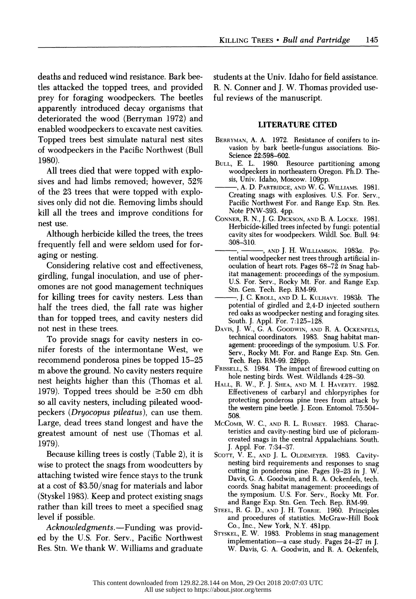deaths and reduced wind resistance. Bark bee tles attacked the topped trees, and provided prey for foraging woodpeckers. The beetles apparently introduced decay organisms that deteriorated the wood (Berryman 1972) and enabled woodpeckers to excavate nest cavities. Topped trees best simulate natural nest sites of woodpeckers in the Pacific Northwest (Bull 1980).

 All trees died that were topped with explo sives and had limbs removed; however, 52% of the 23 trees that were topped with explo sives only did not die. Removing limbs should kill all the trees and improve conditions for nest use.

 Although herbicide killed the trees, the trees frequently fell and were seldom used for for aging or nesting.

 Considering relative cost and effectiveness, girdling, fungal inoculation, and use of pher omones are not good management techniques for killing trees for cavity nesters. Less than half the trees died, the fall rate was higher than for topped trees, and cavity nesters did not nest in these trees.

 To provide snags for cavity nesters in co nifer forests of the intermontane West, we recommend ponderosa pines be topped 15-25 m above the ground. No cavity nesters require nest heights higher than this (Thomas et al. 1979). Topped trees should be  $\geq 50$  cm dbh so all cavity nesters, including pileated wood peckers (Dryocopus pileatus), can use them. Large, dead trees stand longest and have the greatest amount of nest use (Thomas et al. 1979).

 Because killing trees is costly (Table 2), it is wise to protect the snags from woodcutters by attaching twisted wire fence stays to the trunk at a cost of \$3.50/snag for materials and labor (Styskel 1983). Keep and protect existing snags rather than kill trees to meet a specified snag level if possible.

Acknowledgments.-Funding was provid ed by the U.S. For. Serv., Pacific Northwest Res. Stn. We thank W. Williams and graduate  students at the Univ. Idaho for field assistance. R. N. Conner and J. W. Thomas provided use ful reviews of the manuscript.

## LITERATURE CITED

- BERRYMAN, A. A. 1972. Resistance of conifers to in vasion by bark beetle-fungus associations. Bio- Science 22:598-602.
- BULL, E. L. 1980. Resource partitioning among woodpeckers in northeastern Oregon. Ph.D. The sis, Univ. Idaho, Moscow. 109pp.
- , A. D. PARTRIDGE, AND W. G. WILLIAMS. 1981. Creating snags with explosives. U.S. For. Serv., Pacific Northwest For. and Range Exp. Stn. Res. Note PNW-393. 4pp.
- CONNER, R. N., J. G. DICKSON, AND B. A. LOCKE. 1981. Herbicide-killed trees infected by fungi: potential cavity sites for woodpeckers. Wildl. Soc. Bull. 94: 308-310.
- AND J. H. WILLIAMSON. 1983a. Po tential woodpecker nest trees through artificial in oculation of heart rots. Pages 68-72 in Snag hab itat management: proceedings of the symposium. U.S. For. Serv., Rocky Mt. For. and Range Exp. Stn. Gen. Tech. Rep. RM-99.
- J. C. KROLL, AND D. L. KULHAVY. 1983b. The potential of girdled and 2,4-D injected southern red oaks as woodpecker nesting and foraging sites. South. J. Appl. For. 7:125-128.
- DAVIS, J. W., G. A. GOODWIN, AND R. A. OCKENFELS, technical coordinators. 1983. Snag habitat man agement: proceedings of the symposium. U.S. For. Serv., Rocky Mt. For. and Range Exp. Stn. Gen. Tech. Rep. RM-99. 226pp.
- FRISSELL, S. 1984. The impact of firewood cutting on hole nesting birds. West. Wildlands 4:28-30.
- HALL, R. W., P. J. SHEA, AND M. I. HAVERTY. 1982. Effectiveness of carbaryl and chlorpyriphes for protecting ponderosa pine trees from attack by the western pine beetle. J. Econ. Entomol. 75:504- 508.
- MCCOMB, W. C., AND R. L. RUMSEY. 1983. Charac teristics and cavity-nesting bird use of picloram created snags in the central Appalachians. South. J. Appl. For. 7:34-37.
- SCOTT, V. E., AND J. L. OLDEMEYER. 1983. Cavity nesting bird requirements and responses to snag cutting in ponderosa pine. Pages 19-23 in J. W. Davis, G. A. Goodwin, and R. A. Ockenfels, tech. coords. Snag habitat management: proceedings of the symposium. U.S. For. Serv., Rocky Mt. For. and Range Exp. Stn. Gen. Tech. Rep. RM-99.
- STEEL, R. G. D., AND J. H. TORRIE. 1960. Principles and procedures of statistics. McGraw-Hill Book Co., Inc., New York, N.Y. 481pp.
- STYSKEL, E. W. 1983. Problems in snag management implementation-a case study. Pages 24-27 in J. W. Davis, G. A. Goodwin, and R. A. Ockenfels,